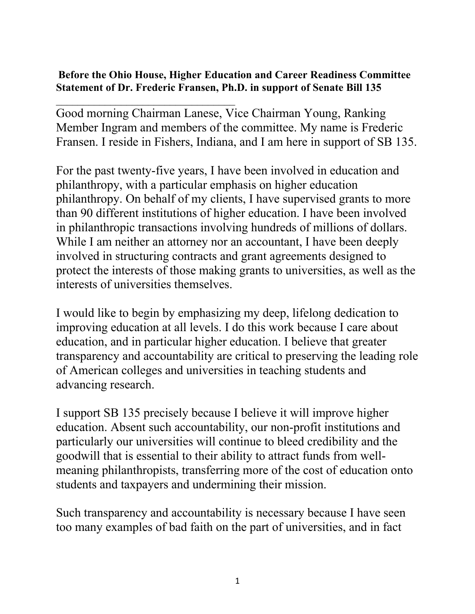## **Before the Ohio House, Higher Education and Career Readiness Committee Statement of Dr. Frederic Fransen, Ph.D. in support of Senate Bill 135**

 $\mathcal{L}_\text{max}$  , and the set of the set of the set of the set of the set of the set of the set of the set of the set of the set of the set of the set of the set of the set of the set of the set of the set of the set of the

Good morning Chairman Lanese, Vice Chairman Young, Ranking Member Ingram and members of the committee. My name is Frederic Fransen. I reside in Fishers, Indiana, and I am here in support of SB 135.

For the past twenty-five years, I have been involved in education and philanthropy, with a particular emphasis on higher education philanthropy. On behalf of my clients, I have supervised grants to more than 90 different institutions of higher education. I have been involved in philanthropic transactions involving hundreds of millions of dollars. While I am neither an attorney nor an accountant, I have been deeply involved in structuring contracts and grant agreements designed to protect the interests of those making grants to universities, as well as the interests of universities themselves.

I would like to begin by emphasizing my deep, lifelong dedication to improving education at all levels. I do this work because I care about education, and in particular higher education. I believe that greater transparency and accountability are critical to preserving the leading role of American colleges and universities in teaching students and advancing research.

I support SB 135 precisely because I believe it will improve higher education. Absent such accountability, our non-profit institutions and particularly our universities will continue to bleed credibility and the goodwill that is essential to their ability to attract funds from wellmeaning philanthropists, transferring more of the cost of education onto students and taxpayers and undermining their mission.

Such transparency and accountability is necessary because I have seen too many examples of bad faith on the part of universities, and in fact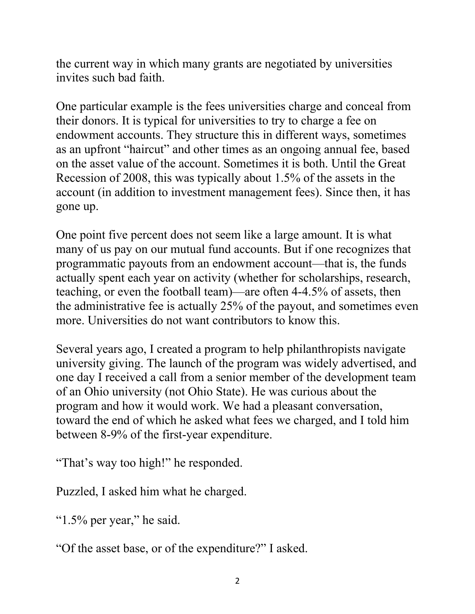the current way in which many grants are negotiated by universities invites such bad faith.

One particular example is the fees universities charge and conceal from their donors. It is typical for universities to try to charge a fee on endowment accounts. They structure this in different ways, sometimes as an upfront "haircut" and other times as an ongoing annual fee, based on the asset value of the account. Sometimes it is both. Until the Great Recession of 2008, this was typically about 1.5% of the assets in the account (in addition to investment management fees). Since then, it has gone up.

One point five percent does not seem like a large amount. It is what many of us pay on our mutual fund accounts. But if one recognizes that programmatic payouts from an endowment account—that is, the funds actually spent each year on activity (whether for scholarships, research, teaching, or even the football team)—are often 4-4.5% of assets, then the administrative fee is actually 25% of the payout, and sometimes even more. Universities do not want contributors to know this.

Several years ago, I created a program to help philanthropists navigate university giving. The launch of the program was widely advertised, and one day I received a call from a senior member of the development team of an Ohio university (not Ohio State). He was curious about the program and how it would work. We had a pleasant conversation, toward the end of which he asked what fees we charged, and I told him between 8-9% of the first-year expenditure.

"That's way too high!" he responded.

Puzzled, I asked him what he charged.

" $1.5\%$  per year," he said.

"Of the asset base, or of the expenditure?" I asked.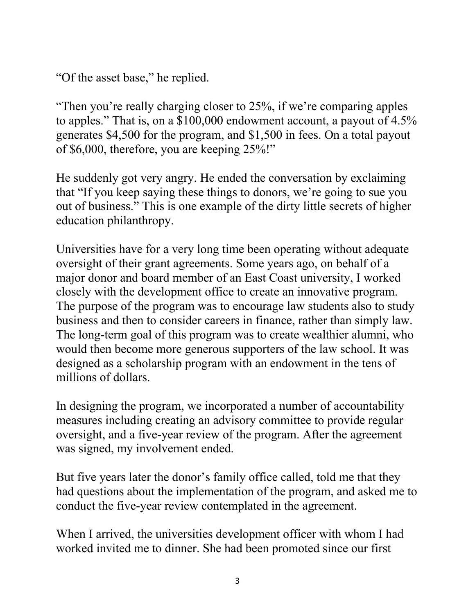"Of the asset base," he replied.

"Then you're really charging closer to 25%, if we're comparing apples to apples." That is, on a \$100,000 endowment account, a payout of 4.5% generates \$4,500 for the program, and \$1,500 in fees. On a total payout of \$6,000, therefore, you are keeping 25%!"

He suddenly got very angry. He ended the conversation by exclaiming that "If you keep saying these things to donors, we're going to sue you out of business." This is one example of the dirty little secrets of higher education philanthropy.

Universities have for a very long time been operating without adequate oversight of their grant agreements. Some years ago, on behalf of a major donor and board member of an East Coast university, I worked closely with the development office to create an innovative program. The purpose of the program was to encourage law students also to study business and then to consider careers in finance, rather than simply law. The long-term goal of this program was to create wealthier alumni, who would then become more generous supporters of the law school. It was designed as a scholarship program with an endowment in the tens of millions of dollars.

In designing the program, we incorporated a number of accountability measures including creating an advisory committee to provide regular oversight, and a five-year review of the program. After the agreement was signed, my involvement ended.

But five years later the donor's family office called, told me that they had questions about the implementation of the program, and asked me to conduct the five-year review contemplated in the agreement.

When I arrived, the universities development officer with whom I had worked invited me to dinner. She had been promoted since our first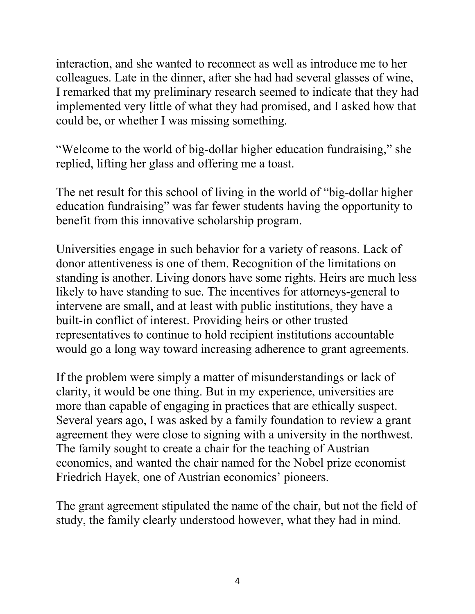interaction, and she wanted to reconnect as well as introduce me to her colleagues. Late in the dinner, after she had had several glasses of wine, I remarked that my preliminary research seemed to indicate that they had implemented very little of what they had promised, and I asked how that could be, or whether I was missing something.

"Welcome to the world of big-dollar higher education fundraising," she replied, lifting her glass and offering me a toast.

The net result for this school of living in the world of "big-dollar higher education fundraising" was far fewer students having the opportunity to benefit from this innovative scholarship program.

Universities engage in such behavior for a variety of reasons. Lack of donor attentiveness is one of them. Recognition of the limitations on standing is another. Living donors have some rights. Heirs are much less likely to have standing to sue. The incentives for attorneys-general to intervene are small, and at least with public institutions, they have a built-in conflict of interest. Providing heirs or other trusted representatives to continue to hold recipient institutions accountable would go a long way toward increasing adherence to grant agreements.

If the problem were simply a matter of misunderstandings or lack of clarity, it would be one thing. But in my experience, universities are more than capable of engaging in practices that are ethically suspect. Several years ago, I was asked by a family foundation to review a grant agreement they were close to signing with a university in the northwest. The family sought to create a chair for the teaching of Austrian economics, and wanted the chair named for the Nobel prize economist Friedrich Hayek, one of Austrian economics' pioneers.

The grant agreement stipulated the name of the chair, but not the field of study, the family clearly understood however, what they had in mind.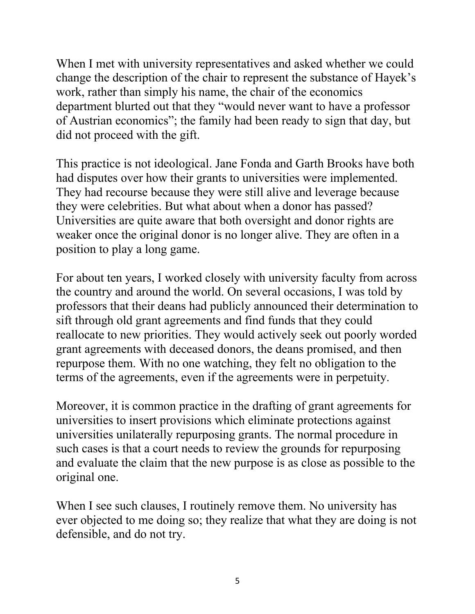When I met with university representatives and asked whether we could change the description of the chair to represent the substance of Hayek's work, rather than simply his name, the chair of the economics department blurted out that they "would never want to have a professor of Austrian economics"; the family had been ready to sign that day, but did not proceed with the gift.

This practice is not ideological. Jane Fonda and Garth Brooks have both had disputes over how their grants to universities were implemented. They had recourse because they were still alive and leverage because they were celebrities. But what about when a donor has passed? Universities are quite aware that both oversight and donor rights are weaker once the original donor is no longer alive. They are often in a position to play a long game.

For about ten years, I worked closely with university faculty from across the country and around the world. On several occasions, I was told by professors that their deans had publicly announced their determination to sift through old grant agreements and find funds that they could reallocate to new priorities. They would actively seek out poorly worded grant agreements with deceased donors, the deans promised, and then repurpose them. With no one watching, they felt no obligation to the terms of the agreements, even if the agreements were in perpetuity.

Moreover, it is common practice in the drafting of grant agreements for universities to insert provisions which eliminate protections against universities unilaterally repurposing grants. The normal procedure in such cases is that a court needs to review the grounds for repurposing and evaluate the claim that the new purpose is as close as possible to the original one.

When I see such clauses, I routinely remove them. No university has ever objected to me doing so; they realize that what they are doing is not defensible, and do not try.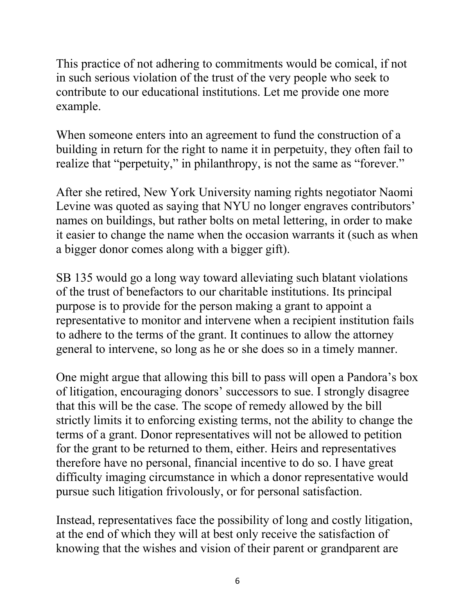This practice of not adhering to commitments would be comical, if not in such serious violation of the trust of the very people who seek to contribute to our educational institutions. Let me provide one more example.

When someone enters into an agreement to fund the construction of a building in return for the right to name it in perpetuity, they often fail to realize that "perpetuity," in philanthropy, is not the same as "forever."

After she retired, New York University naming rights negotiator Naomi Levine was quoted as saying that NYU no longer engraves contributors' names on buildings, but rather bolts on metal lettering, in order to make it easier to change the name when the occasion warrants it (such as when a bigger donor comes along with a bigger gift).

SB 135 would go a long way toward alleviating such blatant violations of the trust of benefactors to our charitable institutions. Its principal purpose is to provide for the person making a grant to appoint a representative to monitor and intervene when a recipient institution fails to adhere to the terms of the grant. It continues to allow the attorney general to intervene, so long as he or she does so in a timely manner.

One might argue that allowing this bill to pass will open a Pandora's box of litigation, encouraging donors' successors to sue. I strongly disagree that this will be the case. The scope of remedy allowed by the bill strictly limits it to enforcing existing terms, not the ability to change the terms of a grant. Donor representatives will not be allowed to petition for the grant to be returned to them, either. Heirs and representatives therefore have no personal, financial incentive to do so. I have great difficulty imaging circumstance in which a donor representative would pursue such litigation frivolously, or for personal satisfaction.

Instead, representatives face the possibility of long and costly litigation, at the end of which they will at best only receive the satisfaction of knowing that the wishes and vision of their parent or grandparent are